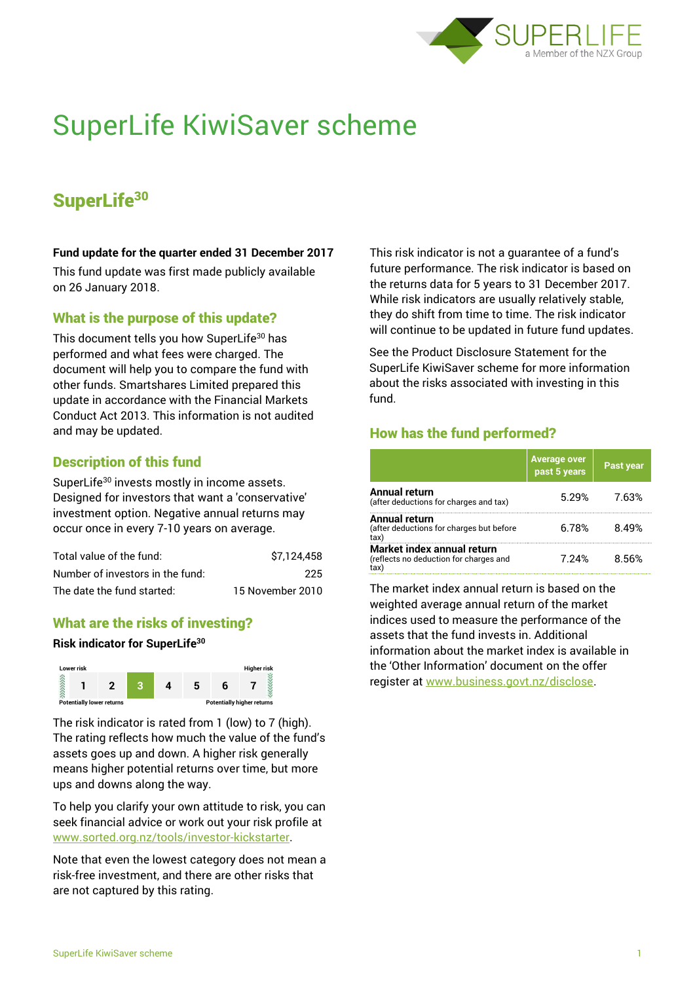

# SuperLife KiwiSaver scheme

# SuperLife<sup>30</sup>

#### **Fund update for the quarter ended 31 December 2017**

This fund update was first made publicly available on 26 January 2018.

# What is the purpose of this update?

This document tells you how SuperLife<sup>30</sup> has performed and what fees were charged. The document will help you to compare the fund with other funds. Smartshares Limited prepared this update in accordance with the Financial Markets Conduct Act 2013. This information is not audited and may be updated.

# Description of this fund

SuperLife<sup>30</sup> invests mostly in income assets. Designed for investors that want a 'conservative' investment option. Negative annual returns may occur once in every 7-10 years on average.

| Total value of the fund:         | \$7.124.458      |
|----------------------------------|------------------|
| Number of investors in the fund: | 225              |
| The date the fund started:       | 15 November 2010 |

### What are the risks of investing?

#### **Risk indicator for SuperLife<sup>30</sup>**



The risk indicator is rated from 1 (low) to 7 (high). The rating reflects how much the value of the fund's assets goes up and down. A higher risk generally means higher potential returns over time, but more ups and downs along the way.

To help you clarify your own attitude to risk, you can seek financial advice or work out your risk profile at [www.sorted.org.nz/tools/investor-kickstarter.](http://www.sorted.org.nz/tools/investor-kickstarter)

Note that even the lowest category does not mean a risk-free investment, and there are other risks that are not captured by this rating.

This risk indicator is not a guarantee of a fund's future performance. The risk indicator is based on the returns data for 5 years to 31 December 2017. While risk indicators are usually relatively stable, they do shift from time to time. The risk indicator will continue to be updated in future fund updates.

See the Product Disclosure Statement for the SuperLife KiwiSaver scheme for more information about the risks associated with investing in this fund.

# How has the fund performed?

|                                                                             | Average over<br>past 5 years | <b>Past year</b> |
|-----------------------------------------------------------------------------|------------------------------|------------------|
| <b>Annual return</b><br>(after deductions for charges and tax)              | 5.29%                        | 7.63%            |
| Annual return<br>(after deductions for charges but before<br>tax)           | 6.78%                        | 8.49%            |
| Market index annual return<br>(reflects no deduction for charges and<br>tax | 7.24%                        | 8.56%            |

The market index annual return is based on the weighted average annual return of the market indices used to measure the performance of the assets that the fund invests in. Additional information about the market index is available in the 'Other Information' document on the offer register at www.business.govt.nz/disclose.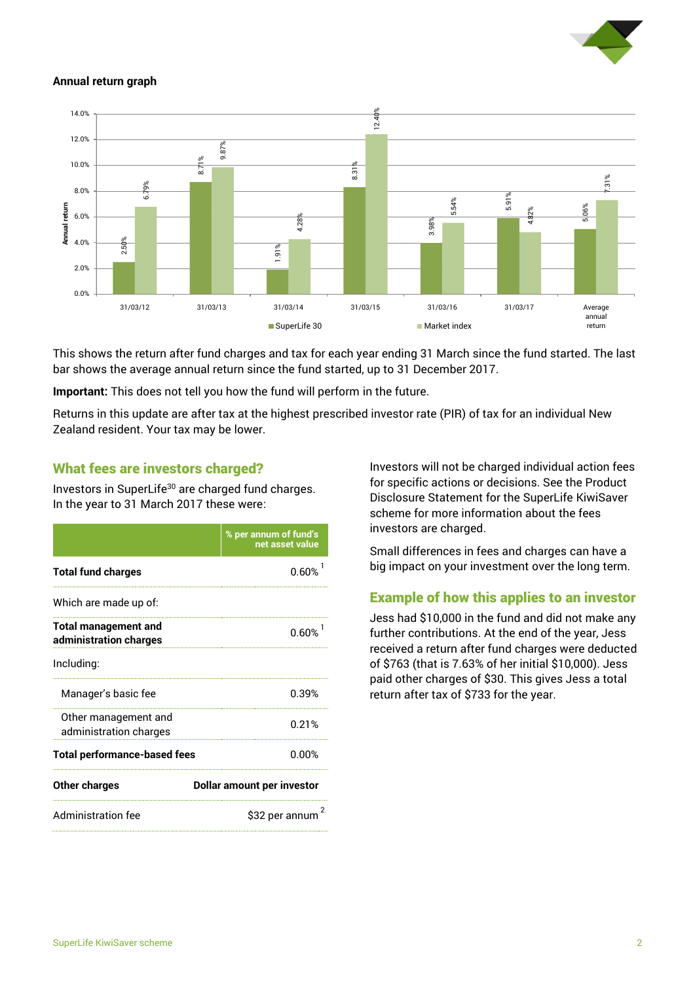

#### **Annual return graph**



This shows the return after fund charges and tax for each year ending 31 March since the fund started. The last bar shows the average annual return since the fund started, up to 31 December 2017.

**Important:** This does not tell you how the fund will perform in the future.

Returns in this update are after tax at the highest prescribed investor rate (PIR) of tax for an individual New Zealand resident. Your tax may be lower.

# What fees are investors charged?

Investors in SuperLife<sup>30</sup> are charged fund charges. In the year to 31 March 2017 these were:

|                                                       | % per annum of fund's<br>net asset value |  |
|-------------------------------------------------------|------------------------------------------|--|
| <b>Total fund charges</b>                             | 0.60%                                    |  |
| Which are made up of:                                 |                                          |  |
| <b>Total management and</b><br>administration charges | 0.60%                                    |  |
| Including:                                            |                                          |  |
| Manager's basic fee                                   | 0.39%                                    |  |
| Other management and<br>administration charges        | 0.21%                                    |  |
| <b>Total performance-based fees</b>                   | 0.00%                                    |  |
| <b>Other charges</b>                                  | <b>Dollar amount per investor</b>        |  |
| <b>Administration fee</b>                             | \$32 per annum                           |  |

Investors will not be charged individual action fees for specific actions or decisions. See the Product Disclosure Statement for the SuperLife KiwiSaver scheme for more information about the fees investors are charged.

Small differences in fees and charges can have a big impact on your investment over the long term.

# Example of how this applies to an investor

Jess had \$10,000 in the fund and did not make any further contributions. At the end of the year, Jess received a return after fund charges were deducted of \$763 (that is 7.63% of her initial \$10,000). Jess paid other charges of \$30. This gives Jess a total return after tax of \$733 for the year.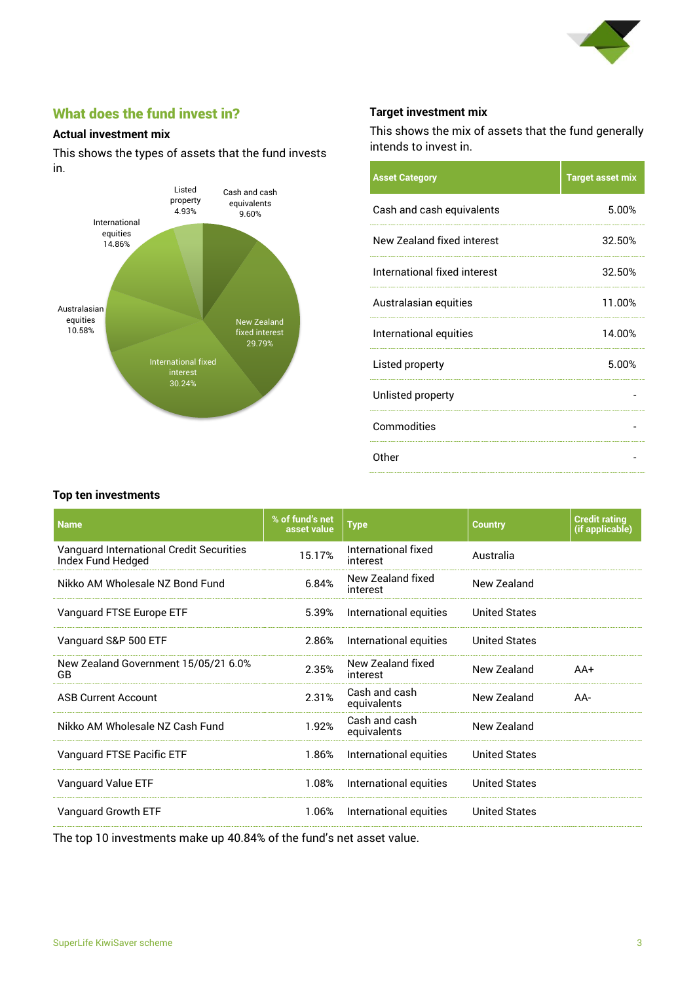

# What does the fund invest in?

#### **Actual investment mix**

This shows the types of assets that the fund invests in.



#### **Target investment mix**

This shows the mix of assets that the fund generally intends to invest in.

| <b>Asset Category</b>        | <b>Target asset mix</b> |
|------------------------------|-------------------------|
| Cash and cash equivalents    | 5.00%                   |
| New Zealand fixed interest   | 32.50%                  |
| International fixed interest | 32.50%                  |
| Australasian equities        | 11.00%                  |
| International equities       | 14.00%                  |
| Listed property              | 5.00%                   |
| Unlisted property            |                         |
| Commodities                  |                         |
| Other                        |                         |

#### **Top ten investments**

| % of fund's net<br>asset value | <b>Type</b>                     | <b>Country</b>       | <b>Credit rating</b><br>(if applicable) |
|--------------------------------|---------------------------------|----------------------|-----------------------------------------|
| 15.17%                         | International fixed<br>interest | Australia            |                                         |
| 6.84%                          | New Zealand fixed<br>interest   | New Zealand          |                                         |
| 5.39%                          | International equities          | <b>United States</b> |                                         |
| 2.86%                          | International equities          | <b>United States</b> |                                         |
| 2.35%                          | New Zealand fixed<br>interest   | New Zealand          | $AA+$                                   |
| 2.31%                          | Cash and cash<br>equivalents    | New Zealand          | AA-                                     |
| 1.92%                          | Cash and cash<br>equivalents    | New Zealand          |                                         |
| 1.86%                          | International equities          | <b>United States</b> |                                         |
| 1.08%                          | International equities          | <b>United States</b> |                                         |
| 1.06%                          | International equities          | <b>United States</b> |                                         |
|                                |                                 |                      |                                         |

The top 10 investments make up 40.84% of the fund's net asset value.